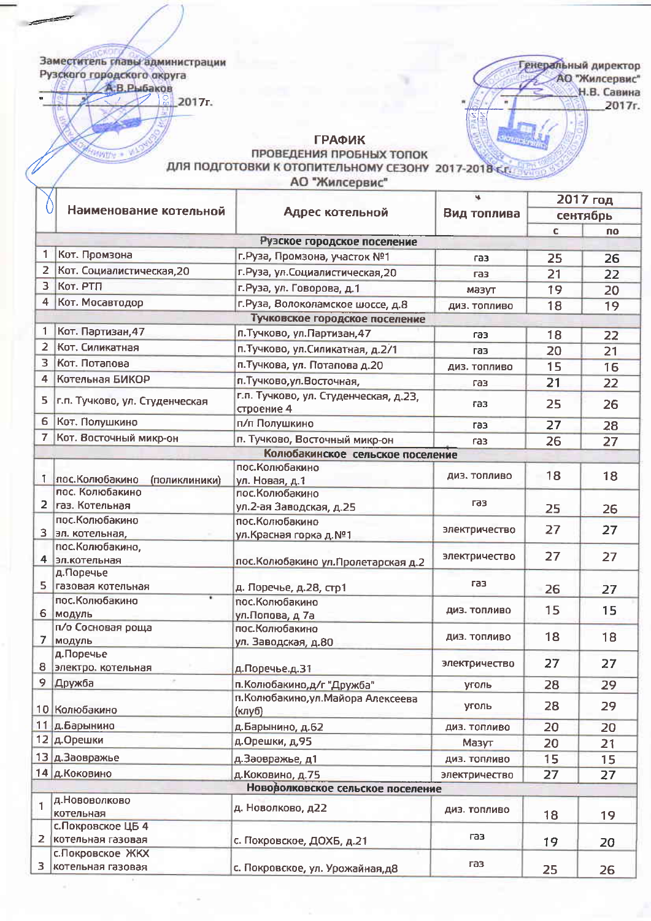Заместитель главы администрации Рузского городского округа А.В.Рыбаков

 $\frac{6}{10}$  2017<sub>r</sub>.

**MANY** 

Генеральный директор АО "Жилсервис" Н.В. Савина 2017r.

 $\overline{\phantom{a}}$ 

**ГРАФИК** 

## ПРОВЕДЕНИЯ ПРОБНЫХ ТОПОК ДЛЯ ПОДГОТОВКИ К ОТОПИТЕЛЬНОМУ СЕЗОНУ 2017-2018 К.Г.

АО "Жилсервис"

| сентябрь<br>C<br><b>no</b><br>Рузское городское поселение<br>Кот. Промзона<br>г. Руза, Промзона, участок №1<br>25<br>26<br>газ<br>Кот. Социалистическая, 20<br>г. Руза, ул. Социалистическая, 20<br>21<br>22<br>газ<br>Kor. PTH<br>г.Руза, ул. Говорова, д.1<br>19<br>20<br>мазут<br>Кот. Мосавтодор<br>г. Руза, Волоколамское шоссе, д.8<br>18<br>19<br>ДИЗ. ТОПЛИВО<br>Тучковское городское поселение<br>Кот. Партизан, 47<br>п. Тучково, ул. Партизан, 47<br>22<br>18<br>газ<br>Кот. Силикатная<br>п. Тучково, ул. Силикатная, д. 2/1<br>20<br>21<br>газ<br>Кот. Потапова<br>п. Тучкова, ул. Потапова д. 20<br>15<br>16<br>ДИЗ. ТОПЛИВО<br>Котельная БИКОР<br>п. Тучково, ул. Восточная,<br>21<br>22<br>газ<br>г.п. Тучково, ул. Студенческая, д.23,<br>г.п. Тучково, ул. Студенческая<br>25<br>26<br>газ<br>строение 4<br>Кот. Полушкино<br>п/п Полушкино<br>27<br>28<br>газ<br>Кот. Восточный микр-он<br>7<br>п. Тучково, Восточный микр-он<br>26<br>27<br>газ<br>Колюбакинское сельское поселение<br>пос. Колюбакино<br>18<br>18<br>ДИЗ. ТОПЛИВО<br>пос. Колюбакино<br>(поликлиники)<br>ул. Новая, д.1<br>пос. Колюбакино<br>пос. Колюбакино<br><b>ra3</b><br>газ. Котельная<br>ул.2-ая Заводская, д.25<br>25<br>26<br>пос. Колюбакино<br>пос. Колюбакино<br>27<br>27<br>электричество<br>эл. котельная,<br>ул.Красная горка д.№1<br>пос. Колюбакино,<br>27<br>27<br>электричество<br>эл.котельная<br>пос. Колюбакино ул. Пролетарская д.2<br>д.Поречье<br>газ<br>газовая котельная<br>д. Поречье, д.28, стр1<br>26<br>27<br>пос. Колюбакино<br>пос. Колюбакино<br>15<br>15<br>диз. топливо<br>6 модуль<br>ул.Попова, д 7а<br>п/о Сосновая роща<br>пос. Колюбакино<br>18<br>18<br>ДИЗ. ТОПЛИВО<br>модуль<br>ул. Заводская, д.80<br>д.Поречье<br>27<br>27<br>электричество<br>электро. котельная<br>д.Поречье.д.31<br>Дружба<br>п. Колюбакино, д/г "Дружба"<br>28<br>29<br>уголь<br>п. Колюбакино, ул. Майора Алексеева<br>28<br>29<br>уголь<br>10 Колюбакино<br>(клуб)<br>11 д.Барынино<br>д.Барынино, д.62<br>20<br>20<br>ДИЗ. ТОПЛИВО<br>12 д.Орешки<br>д.Орешки, д, 95<br>20<br>Мазут<br>21<br>13 д.Заовражье<br>д.Заовражье, д1<br>15<br>15<br>ДИЗ. ТОПЛИВО<br>14 д. Коковино<br>д. Коковино, д.75<br>27<br>электричество<br>27<br>Нововолковское сельское поселение<br>д. Нововолково<br>д. Новолково, д22<br>ДИЗ. ТОПЛИВО<br>котельная<br>18<br>19<br>с. Покровское ЦБ 4<br>газ<br>котельная газовая<br>с. Покровское, ДОХБ, д.21<br>19<br>20<br>с. Покровское ЖКХ<br>газ<br>котельная газовая | 0              | Наименование котельной |                                 | Вид топлива | 2017 год |    |
|------------------------------------------------------------------------------------------------------------------------------------------------------------------------------------------------------------------------------------------------------------------------------------------------------------------------------------------------------------------------------------------------------------------------------------------------------------------------------------------------------------------------------------------------------------------------------------------------------------------------------------------------------------------------------------------------------------------------------------------------------------------------------------------------------------------------------------------------------------------------------------------------------------------------------------------------------------------------------------------------------------------------------------------------------------------------------------------------------------------------------------------------------------------------------------------------------------------------------------------------------------------------------------------------------------------------------------------------------------------------------------------------------------------------------------------------------------------------------------------------------------------------------------------------------------------------------------------------------------------------------------------------------------------------------------------------------------------------------------------------------------------------------------------------------------------------------------------------------------------------------------------------------------------------------------------------------------------------------------------------------------------------------------------------------------------------------------------------------------------------------------------------------------------------------------------------------------------------------------------------------------------------------------------------------------------------------------------------------------------------------------------------------------------------------------------------------------------------------------------------------------|----------------|------------------------|---------------------------------|-------------|----------|----|
|                                                                                                                                                                                                                                                                                                                                                                                                                                                                                                                                                                                                                                                                                                                                                                                                                                                                                                                                                                                                                                                                                                                                                                                                                                                                                                                                                                                                                                                                                                                                                                                                                                                                                                                                                                                                                                                                                                                                                                                                                                                                                                                                                                                                                                                                                                                                                                                                                                                                                                            |                |                        | Адрес котельной                 |             |          |    |
|                                                                                                                                                                                                                                                                                                                                                                                                                                                                                                                                                                                                                                                                                                                                                                                                                                                                                                                                                                                                                                                                                                                                                                                                                                                                                                                                                                                                                                                                                                                                                                                                                                                                                                                                                                                                                                                                                                                                                                                                                                                                                                                                                                                                                                                                                                                                                                                                                                                                                                            |                |                        |                                 |             |          |    |
|                                                                                                                                                                                                                                                                                                                                                                                                                                                                                                                                                                                                                                                                                                                                                                                                                                                                                                                                                                                                                                                                                                                                                                                                                                                                                                                                                                                                                                                                                                                                                                                                                                                                                                                                                                                                                                                                                                                                                                                                                                                                                                                                                                                                                                                                                                                                                                                                                                                                                                            |                |                        |                                 |             |          |    |
|                                                                                                                                                                                                                                                                                                                                                                                                                                                                                                                                                                                                                                                                                                                                                                                                                                                                                                                                                                                                                                                                                                                                                                                                                                                                                                                                                                                                                                                                                                                                                                                                                                                                                                                                                                                                                                                                                                                                                                                                                                                                                                                                                                                                                                                                                                                                                                                                                                                                                                            |                |                        |                                 |             |          |    |
|                                                                                                                                                                                                                                                                                                                                                                                                                                                                                                                                                                                                                                                                                                                                                                                                                                                                                                                                                                                                                                                                                                                                                                                                                                                                                                                                                                                                                                                                                                                                                                                                                                                                                                                                                                                                                                                                                                                                                                                                                                                                                                                                                                                                                                                                                                                                                                                                                                                                                                            | $\overline{2}$ |                        |                                 |             |          |    |
|                                                                                                                                                                                                                                                                                                                                                                                                                                                                                                                                                                                                                                                                                                                                                                                                                                                                                                                                                                                                                                                                                                                                                                                                                                                                                                                                                                                                                                                                                                                                                                                                                                                                                                                                                                                                                                                                                                                                                                                                                                                                                                                                                                                                                                                                                                                                                                                                                                                                                                            | 3              |                        |                                 |             |          |    |
|                                                                                                                                                                                                                                                                                                                                                                                                                                                                                                                                                                                                                                                                                                                                                                                                                                                                                                                                                                                                                                                                                                                                                                                                                                                                                                                                                                                                                                                                                                                                                                                                                                                                                                                                                                                                                                                                                                                                                                                                                                                                                                                                                                                                                                                                                                                                                                                                                                                                                                            | 4              |                        |                                 |             |          |    |
|                                                                                                                                                                                                                                                                                                                                                                                                                                                                                                                                                                                                                                                                                                                                                                                                                                                                                                                                                                                                                                                                                                                                                                                                                                                                                                                                                                                                                                                                                                                                                                                                                                                                                                                                                                                                                                                                                                                                                                                                                                                                                                                                                                                                                                                                                                                                                                                                                                                                                                            |                |                        |                                 |             |          |    |
|                                                                                                                                                                                                                                                                                                                                                                                                                                                                                                                                                                                                                                                                                                                                                                                                                                                                                                                                                                                                                                                                                                                                                                                                                                                                                                                                                                                                                                                                                                                                                                                                                                                                                                                                                                                                                                                                                                                                                                                                                                                                                                                                                                                                                                                                                                                                                                                                                                                                                                            | 1              |                        |                                 |             |          |    |
|                                                                                                                                                                                                                                                                                                                                                                                                                                                                                                                                                                                                                                                                                                                                                                                                                                                                                                                                                                                                                                                                                                                                                                                                                                                                                                                                                                                                                                                                                                                                                                                                                                                                                                                                                                                                                                                                                                                                                                                                                                                                                                                                                                                                                                                                                                                                                                                                                                                                                                            | $\overline{2}$ |                        |                                 |             |          |    |
|                                                                                                                                                                                                                                                                                                                                                                                                                                                                                                                                                                                                                                                                                                                                                                                                                                                                                                                                                                                                                                                                                                                                                                                                                                                                                                                                                                                                                                                                                                                                                                                                                                                                                                                                                                                                                                                                                                                                                                                                                                                                                                                                                                                                                                                                                                                                                                                                                                                                                                            | з              |                        |                                 |             |          |    |
|                                                                                                                                                                                                                                                                                                                                                                                                                                                                                                                                                                                                                                                                                                                                                                                                                                                                                                                                                                                                                                                                                                                                                                                                                                                                                                                                                                                                                                                                                                                                                                                                                                                                                                                                                                                                                                                                                                                                                                                                                                                                                                                                                                                                                                                                                                                                                                                                                                                                                                            | 4              |                        |                                 |             |          |    |
|                                                                                                                                                                                                                                                                                                                                                                                                                                                                                                                                                                                                                                                                                                                                                                                                                                                                                                                                                                                                                                                                                                                                                                                                                                                                                                                                                                                                                                                                                                                                                                                                                                                                                                                                                                                                                                                                                                                                                                                                                                                                                                                                                                                                                                                                                                                                                                                                                                                                                                            |                |                        |                                 |             |          |    |
|                                                                                                                                                                                                                                                                                                                                                                                                                                                                                                                                                                                                                                                                                                                                                                                                                                                                                                                                                                                                                                                                                                                                                                                                                                                                                                                                                                                                                                                                                                                                                                                                                                                                                                                                                                                                                                                                                                                                                                                                                                                                                                                                                                                                                                                                                                                                                                                                                                                                                                            | 5              |                        |                                 |             |          |    |
|                                                                                                                                                                                                                                                                                                                                                                                                                                                                                                                                                                                                                                                                                                                                                                                                                                                                                                                                                                                                                                                                                                                                                                                                                                                                                                                                                                                                                                                                                                                                                                                                                                                                                                                                                                                                                                                                                                                                                                                                                                                                                                                                                                                                                                                                                                                                                                                                                                                                                                            | 6              |                        |                                 |             |          |    |
|                                                                                                                                                                                                                                                                                                                                                                                                                                                                                                                                                                                                                                                                                                                                                                                                                                                                                                                                                                                                                                                                                                                                                                                                                                                                                                                                                                                                                                                                                                                                                                                                                                                                                                                                                                                                                                                                                                                                                                                                                                                                                                                                                                                                                                                                                                                                                                                                                                                                                                            |                |                        |                                 |             |          |    |
|                                                                                                                                                                                                                                                                                                                                                                                                                                                                                                                                                                                                                                                                                                                                                                                                                                                                                                                                                                                                                                                                                                                                                                                                                                                                                                                                                                                                                                                                                                                                                                                                                                                                                                                                                                                                                                                                                                                                                                                                                                                                                                                                                                                                                                                                                                                                                                                                                                                                                                            |                |                        |                                 |             |          |    |
|                                                                                                                                                                                                                                                                                                                                                                                                                                                                                                                                                                                                                                                                                                                                                                                                                                                                                                                                                                                                                                                                                                                                                                                                                                                                                                                                                                                                                                                                                                                                                                                                                                                                                                                                                                                                                                                                                                                                                                                                                                                                                                                                                                                                                                                                                                                                                                                                                                                                                                            |                |                        |                                 |             |          |    |
|                                                                                                                                                                                                                                                                                                                                                                                                                                                                                                                                                                                                                                                                                                                                                                                                                                                                                                                                                                                                                                                                                                                                                                                                                                                                                                                                                                                                                                                                                                                                                                                                                                                                                                                                                                                                                                                                                                                                                                                                                                                                                                                                                                                                                                                                                                                                                                                                                                                                                                            | 1              |                        |                                 |             |          |    |
|                                                                                                                                                                                                                                                                                                                                                                                                                                                                                                                                                                                                                                                                                                                                                                                                                                                                                                                                                                                                                                                                                                                                                                                                                                                                                                                                                                                                                                                                                                                                                                                                                                                                                                                                                                                                                                                                                                                                                                                                                                                                                                                                                                                                                                                                                                                                                                                                                                                                                                            |                |                        |                                 |             |          |    |
|                                                                                                                                                                                                                                                                                                                                                                                                                                                                                                                                                                                                                                                                                                                                                                                                                                                                                                                                                                                                                                                                                                                                                                                                                                                                                                                                                                                                                                                                                                                                                                                                                                                                                                                                                                                                                                                                                                                                                                                                                                                                                                                                                                                                                                                                                                                                                                                                                                                                                                            | 2              |                        |                                 |             |          |    |
|                                                                                                                                                                                                                                                                                                                                                                                                                                                                                                                                                                                                                                                                                                                                                                                                                                                                                                                                                                                                                                                                                                                                                                                                                                                                                                                                                                                                                                                                                                                                                                                                                                                                                                                                                                                                                                                                                                                                                                                                                                                                                                                                                                                                                                                                                                                                                                                                                                                                                                            |                |                        |                                 |             |          |    |
|                                                                                                                                                                                                                                                                                                                                                                                                                                                                                                                                                                                                                                                                                                                                                                                                                                                                                                                                                                                                                                                                                                                                                                                                                                                                                                                                                                                                                                                                                                                                                                                                                                                                                                                                                                                                                                                                                                                                                                                                                                                                                                                                                                                                                                                                                                                                                                                                                                                                                                            | 3.             |                        |                                 |             |          |    |
|                                                                                                                                                                                                                                                                                                                                                                                                                                                                                                                                                                                                                                                                                                                                                                                                                                                                                                                                                                                                                                                                                                                                                                                                                                                                                                                                                                                                                                                                                                                                                                                                                                                                                                                                                                                                                                                                                                                                                                                                                                                                                                                                                                                                                                                                                                                                                                                                                                                                                                            |                |                        |                                 |             |          |    |
|                                                                                                                                                                                                                                                                                                                                                                                                                                                                                                                                                                                                                                                                                                                                                                                                                                                                                                                                                                                                                                                                                                                                                                                                                                                                                                                                                                                                                                                                                                                                                                                                                                                                                                                                                                                                                                                                                                                                                                                                                                                                                                                                                                                                                                                                                                                                                                                                                                                                                                            | 4              |                        |                                 |             |          |    |
|                                                                                                                                                                                                                                                                                                                                                                                                                                                                                                                                                                                                                                                                                                                                                                                                                                                                                                                                                                                                                                                                                                                                                                                                                                                                                                                                                                                                                                                                                                                                                                                                                                                                                                                                                                                                                                                                                                                                                                                                                                                                                                                                                                                                                                                                                                                                                                                                                                                                                                            |                |                        |                                 |             |          |    |
|                                                                                                                                                                                                                                                                                                                                                                                                                                                                                                                                                                                                                                                                                                                                                                                                                                                                                                                                                                                                                                                                                                                                                                                                                                                                                                                                                                                                                                                                                                                                                                                                                                                                                                                                                                                                                                                                                                                                                                                                                                                                                                                                                                                                                                                                                                                                                                                                                                                                                                            | 5.             |                        |                                 |             |          |    |
|                                                                                                                                                                                                                                                                                                                                                                                                                                                                                                                                                                                                                                                                                                                                                                                                                                                                                                                                                                                                                                                                                                                                                                                                                                                                                                                                                                                                                                                                                                                                                                                                                                                                                                                                                                                                                                                                                                                                                                                                                                                                                                                                                                                                                                                                                                                                                                                                                                                                                                            |                |                        |                                 |             |          |    |
|                                                                                                                                                                                                                                                                                                                                                                                                                                                                                                                                                                                                                                                                                                                                                                                                                                                                                                                                                                                                                                                                                                                                                                                                                                                                                                                                                                                                                                                                                                                                                                                                                                                                                                                                                                                                                                                                                                                                                                                                                                                                                                                                                                                                                                                                                                                                                                                                                                                                                                            |                |                        |                                 |             |          |    |
|                                                                                                                                                                                                                                                                                                                                                                                                                                                                                                                                                                                                                                                                                                                                                                                                                                                                                                                                                                                                                                                                                                                                                                                                                                                                                                                                                                                                                                                                                                                                                                                                                                                                                                                                                                                                                                                                                                                                                                                                                                                                                                                                                                                                                                                                                                                                                                                                                                                                                                            |                |                        |                                 |             |          |    |
|                                                                                                                                                                                                                                                                                                                                                                                                                                                                                                                                                                                                                                                                                                                                                                                                                                                                                                                                                                                                                                                                                                                                                                                                                                                                                                                                                                                                                                                                                                                                                                                                                                                                                                                                                                                                                                                                                                                                                                                                                                                                                                                                                                                                                                                                                                                                                                                                                                                                                                            | $\overline{7}$ |                        |                                 |             |          |    |
|                                                                                                                                                                                                                                                                                                                                                                                                                                                                                                                                                                                                                                                                                                                                                                                                                                                                                                                                                                                                                                                                                                                                                                                                                                                                                                                                                                                                                                                                                                                                                                                                                                                                                                                                                                                                                                                                                                                                                                                                                                                                                                                                                                                                                                                                                                                                                                                                                                                                                                            |                |                        |                                 |             |          |    |
|                                                                                                                                                                                                                                                                                                                                                                                                                                                                                                                                                                                                                                                                                                                                                                                                                                                                                                                                                                                                                                                                                                                                                                                                                                                                                                                                                                                                                                                                                                                                                                                                                                                                                                                                                                                                                                                                                                                                                                                                                                                                                                                                                                                                                                                                                                                                                                                                                                                                                                            | 8              |                        |                                 |             |          |    |
|                                                                                                                                                                                                                                                                                                                                                                                                                                                                                                                                                                                                                                                                                                                                                                                                                                                                                                                                                                                                                                                                                                                                                                                                                                                                                                                                                                                                                                                                                                                                                                                                                                                                                                                                                                                                                                                                                                                                                                                                                                                                                                                                                                                                                                                                                                                                                                                                                                                                                                            | 9              |                        |                                 |             |          |    |
|                                                                                                                                                                                                                                                                                                                                                                                                                                                                                                                                                                                                                                                                                                                                                                                                                                                                                                                                                                                                                                                                                                                                                                                                                                                                                                                                                                                                                                                                                                                                                                                                                                                                                                                                                                                                                                                                                                                                                                                                                                                                                                                                                                                                                                                                                                                                                                                                                                                                                                            |                |                        |                                 |             |          |    |
|                                                                                                                                                                                                                                                                                                                                                                                                                                                                                                                                                                                                                                                                                                                                                                                                                                                                                                                                                                                                                                                                                                                                                                                                                                                                                                                                                                                                                                                                                                                                                                                                                                                                                                                                                                                                                                                                                                                                                                                                                                                                                                                                                                                                                                                                                                                                                                                                                                                                                                            |                |                        |                                 |             |          |    |
|                                                                                                                                                                                                                                                                                                                                                                                                                                                                                                                                                                                                                                                                                                                                                                                                                                                                                                                                                                                                                                                                                                                                                                                                                                                                                                                                                                                                                                                                                                                                                                                                                                                                                                                                                                                                                                                                                                                                                                                                                                                                                                                                                                                                                                                                                                                                                                                                                                                                                                            |                |                        |                                 |             |          |    |
|                                                                                                                                                                                                                                                                                                                                                                                                                                                                                                                                                                                                                                                                                                                                                                                                                                                                                                                                                                                                                                                                                                                                                                                                                                                                                                                                                                                                                                                                                                                                                                                                                                                                                                                                                                                                                                                                                                                                                                                                                                                                                                                                                                                                                                                                                                                                                                                                                                                                                                            |                |                        |                                 |             |          |    |
|                                                                                                                                                                                                                                                                                                                                                                                                                                                                                                                                                                                                                                                                                                                                                                                                                                                                                                                                                                                                                                                                                                                                                                                                                                                                                                                                                                                                                                                                                                                                                                                                                                                                                                                                                                                                                                                                                                                                                                                                                                                                                                                                                                                                                                                                                                                                                                                                                                                                                                            |                |                        |                                 |             |          |    |
|                                                                                                                                                                                                                                                                                                                                                                                                                                                                                                                                                                                                                                                                                                                                                                                                                                                                                                                                                                                                                                                                                                                                                                                                                                                                                                                                                                                                                                                                                                                                                                                                                                                                                                                                                                                                                                                                                                                                                                                                                                                                                                                                                                                                                                                                                                                                                                                                                                                                                                            |                |                        |                                 |             |          |    |
|                                                                                                                                                                                                                                                                                                                                                                                                                                                                                                                                                                                                                                                                                                                                                                                                                                                                                                                                                                                                                                                                                                                                                                                                                                                                                                                                                                                                                                                                                                                                                                                                                                                                                                                                                                                                                                                                                                                                                                                                                                                                                                                                                                                                                                                                                                                                                                                                                                                                                                            |                |                        |                                 |             |          |    |
|                                                                                                                                                                                                                                                                                                                                                                                                                                                                                                                                                                                                                                                                                                                                                                                                                                                                                                                                                                                                                                                                                                                                                                                                                                                                                                                                                                                                                                                                                                                                                                                                                                                                                                                                                                                                                                                                                                                                                                                                                                                                                                                                                                                                                                                                                                                                                                                                                                                                                                            | 1              |                        |                                 |             |          |    |
|                                                                                                                                                                                                                                                                                                                                                                                                                                                                                                                                                                                                                                                                                                                                                                                                                                                                                                                                                                                                                                                                                                                                                                                                                                                                                                                                                                                                                                                                                                                                                                                                                                                                                                                                                                                                                                                                                                                                                                                                                                                                                                                                                                                                                                                                                                                                                                                                                                                                                                            |                |                        |                                 |             |          |    |
|                                                                                                                                                                                                                                                                                                                                                                                                                                                                                                                                                                                                                                                                                                                                                                                                                                                                                                                                                                                                                                                                                                                                                                                                                                                                                                                                                                                                                                                                                                                                                                                                                                                                                                                                                                                                                                                                                                                                                                                                                                                                                                                                                                                                                                                                                                                                                                                                                                                                                                            | 2              |                        |                                 |             |          |    |
|                                                                                                                                                                                                                                                                                                                                                                                                                                                                                                                                                                                                                                                                                                                                                                                                                                                                                                                                                                                                                                                                                                                                                                                                                                                                                                                                                                                                                                                                                                                                                                                                                                                                                                                                                                                                                                                                                                                                                                                                                                                                                                                                                                                                                                                                                                                                                                                                                                                                                                            |                |                        |                                 |             |          |    |
|                                                                                                                                                                                                                                                                                                                                                                                                                                                                                                                                                                                                                                                                                                                                                                                                                                                                                                                                                                                                                                                                                                                                                                                                                                                                                                                                                                                                                                                                                                                                                                                                                                                                                                                                                                                                                                                                                                                                                                                                                                                                                                                                                                                                                                                                                                                                                                                                                                                                                                            | 3.             |                        | с. Покровское, ул. Урожайная,д8 |             | 25       | 26 |